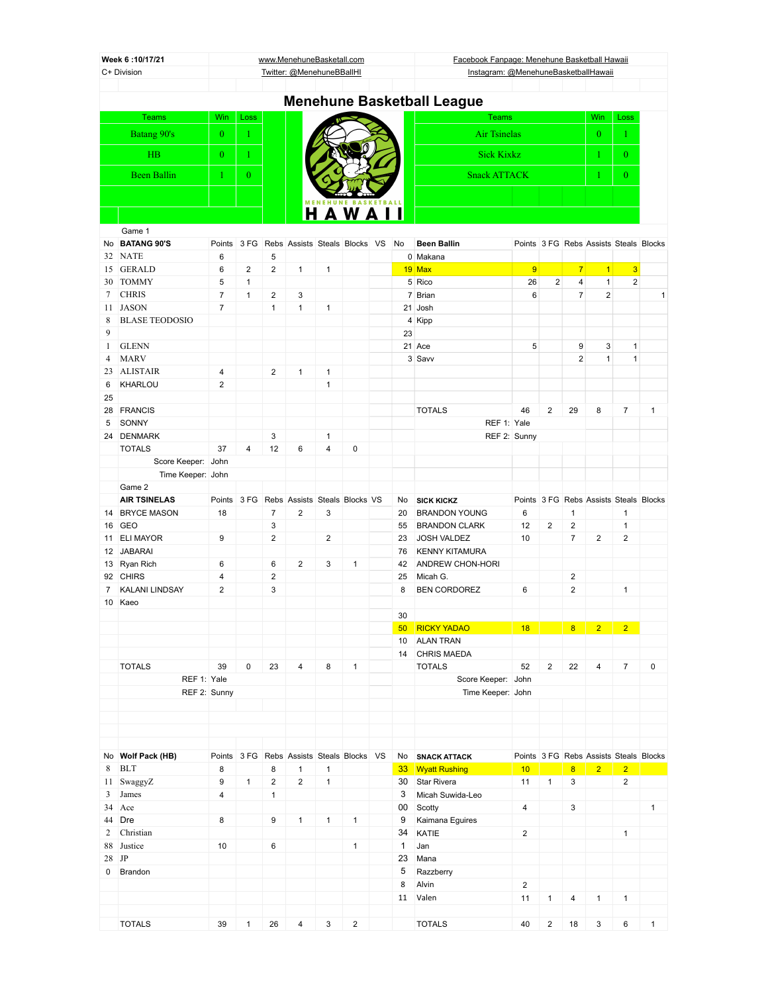| Week 6:10/17/21<br>C+ Division |                                    |                |                |                              | www.MenehuneBasketall.com                 |                |                |                    | Facebook Fanpage: Menehune Basketball Hawaii<br>Instagram: @MenehuneBasketballHawaii |                |                |                         |                                        |                                           |              |
|--------------------------------|------------------------------------|----------------|----------------|------------------------------|-------------------------------------------|----------------|----------------|--------------------|--------------------------------------------------------------------------------------|----------------|----------------|-------------------------|----------------------------------------|-------------------------------------------|--------------|
|                                |                                    |                |                |                              | Twitter: @MenehuneBBallHI                 |                |                |                    |                                                                                      |                |                |                         |                                        |                                           |              |
|                                |                                    |                |                |                              |                                           |                |                |                    | <b>Menehune Basketball League</b>                                                    |                |                |                         |                                        |                                           |              |
|                                | <b>Teams</b>                       | Win            | Loss           |                              |                                           |                |                |                    | <b>Teams</b>                                                                         |                |                |                         | Win                                    | Loss                                      |              |
|                                | Batang 90's                        | $\mathbf{0}$   | 1              |                              |                                           |                |                |                    | <b>Air Tsinelas</b>                                                                  |                |                |                         | $\overline{0}$                         | $\mathbf{1}$                              |              |
|                                | <b>HB</b>                          | $\overline{0}$ | $\mathbf{1}$   |                              |                                           |                |                |                    | <b>Sick Kixkz</b>                                                                    |                |                |                         | 1                                      | $\overline{0}$                            |              |
|                                |                                    |                |                |                              |                                           |                |                |                    |                                                                                      |                |                |                         |                                        |                                           |              |
|                                | <b>Been Ballin</b>                 | $\mathbf{1}$   | $\mathbf{0}$   |                              |                                           |                |                |                    | <b>Snack ATTACK</b>                                                                  |                |                |                         | 1                                      | $\overline{0}$                            |              |
|                                |                                    |                |                |                              |                                           |                |                |                    |                                                                                      |                |                |                         |                                        |                                           |              |
|                                |                                    |                |                |                              |                                           |                | HAWAII         |                    |                                                                                      |                |                |                         |                                        |                                           |              |
|                                | Game 1                             |                |                |                              |                                           |                |                |                    |                                                                                      |                |                |                         |                                        |                                           |              |
|                                | No BATANG 90'S                     | Points         |                |                              | 3 FG Rebs Assists Steals Blocks VS        |                |                | No                 | <b>Been Ballin</b>                                                                   |                |                |                         | Points 3 FG Rebs Assists Steals Blocks |                                           |              |
| 15                             | 32 NATE<br><b>GERALD</b>           | 6<br>6         | $\overline{2}$ | 5<br>$\overline{\mathbf{c}}$ | $\mathbf{1}$                              | $\mathbf{1}$   |                |                    | 0 Makana<br>19 Max                                                                   | 9              |                | $\overline{7}$          | $\vert$                                |                                           |              |
| 30                             | <b>TOMMY</b>                       | 5              | $\mathbf{1}$   |                              |                                           |                |                |                    | 5 Rico                                                                               | 26             | 2              | $\overline{4}$          | $\mathbf{1}$                           | $\overline{\mathbf{3}}$<br>$\overline{2}$ |              |
| 7                              | <b>CHRIS</b>                       | $\overline{7}$ | $\mathbf{1}$   | $\overline{2}$               | 3                                         |                |                |                    | 7 Brian                                                                              | 6              |                | $\overline{7}$          | $\overline{2}$                         |                                           | $\mathbf{1}$ |
| 11                             | <b>JASON</b>                       | $\overline{7}$ |                | $\mathbf{1}$                 | $\mathbf{1}$                              | $\mathbf{1}$   |                |                    | 21 Josh                                                                              |                |                |                         |                                        |                                           |              |
| 8                              | <b>BLASE TEODOSIO</b>              |                |                |                              |                                           |                |                |                    | 4 Kipp                                                                               |                |                |                         |                                        |                                           |              |
| 9                              |                                    |                |                |                              |                                           |                |                | 23                 |                                                                                      |                |                |                         |                                        |                                           |              |
| $\mathbf{1}$                   | <b>GLENN</b>                       |                |                |                              |                                           |                |                |                    | 21 Ace                                                                               | 5              |                | 9                       | 3                                      | $\mathbf{1}$                              |              |
| 4                              | <b>MARV</b>                        |                |                |                              |                                           |                |                |                    | 3 Savv                                                                               |                |                | 2                       | $\mathbf{1}$                           | $\mathbf{1}$                              |              |
| 23                             | <b>ALISTAIR</b>                    | 4              |                | $\overline{2}$               | $\mathbf{1}$                              | 1              |                |                    |                                                                                      |                |                |                         |                                        |                                           |              |
| 6                              | KHARLOU                            | $\overline{2}$ |                |                              |                                           | 1              |                |                    |                                                                                      |                |                |                         |                                        |                                           |              |
| 25                             | 28 FRANCIS                         |                |                |                              |                                           |                |                |                    | <b>TOTALS</b>                                                                        | 46             | $\overline{2}$ | 29                      | 8                                      | $\overline{7}$                            | $\mathbf{1}$ |
| 5                              | SONNY                              |                |                |                              |                                           |                |                |                    | REF 1: Yale                                                                          |                |                |                         |                                        |                                           |              |
| 24                             | <b>DENMARK</b>                     |                |                | 3                            |                                           | $\mathbf{1}$   |                |                    | REF 2: Sunny                                                                         |                |                |                         |                                        |                                           |              |
|                                | <b>TOTALS</b>                      | 37             | 4              | 12                           | 6                                         | 4              | 0              |                    |                                                                                      |                |                |                         |                                        |                                           |              |
|                                | Score Keeper: John                 |                |                |                              |                                           |                |                |                    |                                                                                      |                |                |                         |                                        |                                           |              |
|                                | Time Keeper: John                  |                |                |                              |                                           |                |                |                    |                                                                                      |                |                |                         |                                        |                                           |              |
|                                | Game 2                             |                |                |                              |                                           |                |                |                    |                                                                                      |                |                |                         |                                        |                                           |              |
|                                | <b>AIR TSINELAS</b>                | Points         |                |                              | 3 FG Rebs Assists Steals Blocks VS        |                |                | No                 | <b>SICK KICKZ</b>                                                                    |                |                |                         | Points 3 FG Rebs Assists Steals Blocks |                                           |              |
|                                | 14 BRYCE MASON                     | 18             |                | $\overline{7}$               | $\overline{2}$                            | 3              |                | 20                 | <b>BRANDON YOUNG</b>                                                                 | 6              |                | 1                       |                                        | $\mathbf{1}$                              |              |
|                                | 16 GEO                             |                |                | 3                            |                                           |                |                | 55                 | <b>BRANDON CLARK</b>                                                                 | 12             | 2              | 2<br>$\overline{7}$     |                                        | $\mathbf{1}$                              |              |
| 11<br>12                       | <b>ELI MAYOR</b><br><b>JABARAI</b> | 9              |                | $\overline{\mathbf{c}}$      |                                           | $\overline{2}$ |                | 23<br>76           | <b>JOSH VALDEZ</b><br><b>KENNY KITAMURA</b>                                          | 10             |                |                         | $\overline{2}$                         | 2                                         |              |
|                                | 13 Ryan Rich                       | 6              |                | 6                            | $\overline{2}$                            | 3              | $\mathbf{1}$   | 42                 | ANDREW CHON-HORI                                                                     |                |                |                         |                                        |                                           |              |
|                                | 92 CHIRS                           | 4              |                | 2                            |                                           |                |                | 25                 | Micah G.                                                                             |                |                | 2                       |                                        |                                           |              |
| $\overline{7}$                 | KALANI LINDSAY                     | $\overline{2}$ |                | 3                            |                                           |                |                | 8                  | <b>BEN CORDOREZ</b>                                                                  | 6              |                | $\overline{2}$          |                                        | $\mathbf{1}$                              |              |
|                                | 10 Kaeo                            |                |                |                              |                                           |                |                |                    |                                                                                      |                |                |                         |                                        |                                           |              |
|                                |                                    |                |                |                              |                                           |                |                | 30                 |                                                                                      |                |                |                         |                                        |                                           |              |
|                                |                                    |                |                |                              |                                           |                |                | 50                 | <b>RICKY YADAO</b>                                                                   | 18             |                | 8 <sup>1</sup>          | $2 -$                                  | $\overline{2}$                            |              |
|                                |                                    |                |                |                              |                                           |                |                |                    | 10 ALAN TRAN                                                                         |                |                |                         |                                        |                                           |              |
|                                |                                    |                |                |                              |                                           |                |                | 14                 | CHRIS MAEDA                                                                          |                |                |                         |                                        |                                           |              |
|                                | <b>TOTALS</b>                      | 39             | 0              | 23                           | 4                                         | 8              | $\mathbf{1}$   |                    | <b>TOTALS</b>                                                                        | 52             | $\overline{2}$ | 22                      | 4                                      | $\overline{7}$                            | 0            |
|                                | REF 1: Yale                        |                |                |                              |                                           |                |                |                    | Score Keeper: John<br>Time Keeper: John                                              |                |                |                         |                                        |                                           |              |
|                                |                                    | REF 2: Sunny   |                |                              |                                           |                |                |                    |                                                                                      |                |                |                         |                                        |                                           |              |
|                                |                                    |                |                |                              |                                           |                |                |                    |                                                                                      |                |                |                         |                                        |                                           |              |
|                                |                                    |                |                |                              |                                           |                |                |                    |                                                                                      |                |                |                         |                                        |                                           |              |
|                                |                                    |                |                |                              |                                           |                |                |                    |                                                                                      |                |                |                         |                                        |                                           |              |
|                                | No Wolf Pack (HB)                  |                |                |                              | Points 3 FG Rebs Assists Steals Blocks VS |                |                | No                 | <b>SNACK ATTACK</b>                                                                  |                |                |                         | Points 3 FG Rebs Assists Steals Blocks |                                           |              |
| 8                              | <b>BLT</b>                         | 8              |                | 8                            | $\mathbf{1}$                              | $\mathbf{1}$   |                | 33 <sup>°</sup>    | <b>Wyatt Rushing</b>                                                                 | 10             |                | $\overline{\mathbf{8}}$ | 2 <sup>1</sup>                         | $\overline{2}$                            |              |
| 11                             | SwaggyZ                            | 9              | $\mathbf{1}$   | $\overline{2}$               | $\sqrt{2}$                                | $\mathbf{1}$   |                | 30 <sup>1</sup>    | Star Rivera                                                                          | 11             | $\mathbf{1}$   | 3                       |                                        | $\overline{2}$                            |              |
| 3                              | James                              | 4              |                | $\mathbf{1}$                 |                                           |                |                | 3                  | Micah Suwida-Leo                                                                     |                |                |                         |                                        |                                           |              |
|                                | 34 Ace                             |                |                |                              |                                           |                |                | 00                 | Scotty                                                                               | 4              |                | 3                       |                                        |                                           | $\mathbf{1}$ |
|                                | 44 Dre                             | 8              |                | 9                            | $\mathbf{1}$                              | $\mathbf{1}$   | $\mathbf{1}$   | 9                  | Kaimana Eguires                                                                      |                |                |                         |                                        |                                           |              |
| $\overline{2}$<br>88           | Christian<br>Justice               | 10             |                | 6                            |                                           |                | $\mathbf{1}$   | 34<br>$\mathbf{1}$ | KATIE<br>Jan                                                                         | $\overline{2}$ |                |                         |                                        | $\mathbf{1}$                              |              |
| 28                             | $\mathbf{J} \mathbf{P}$            |                |                |                              |                                           |                |                | 23                 | Mana                                                                                 |                |                |                         |                                        |                                           |              |
| 0                              | Brandon                            |                |                |                              |                                           |                |                | 5                  | Razzberry                                                                            |                |                |                         |                                        |                                           |              |
|                                |                                    |                |                |                              |                                           |                |                | 8                  | Alvin                                                                                | 2              |                |                         |                                        |                                           |              |
|                                |                                    |                |                |                              |                                           |                |                |                    | 11 Valen                                                                             | 11             | $\mathbf{1}$   | 4                       | $\mathbf{1}$                           | $\mathbf{1}$                              |              |
|                                |                                    |                |                |                              |                                           |                |                |                    |                                                                                      |                |                |                         |                                        |                                           |              |
|                                | <b>TOTALS</b>                      | 39             | $\mathbf{1}$   | 26                           | 4                                         | 3              | $\overline{c}$ |                    | <b>TOTALS</b>                                                                        | 40             | $\overline{a}$ | 18                      | 3                                      | 6                                         | $\mathbf{1}$ |